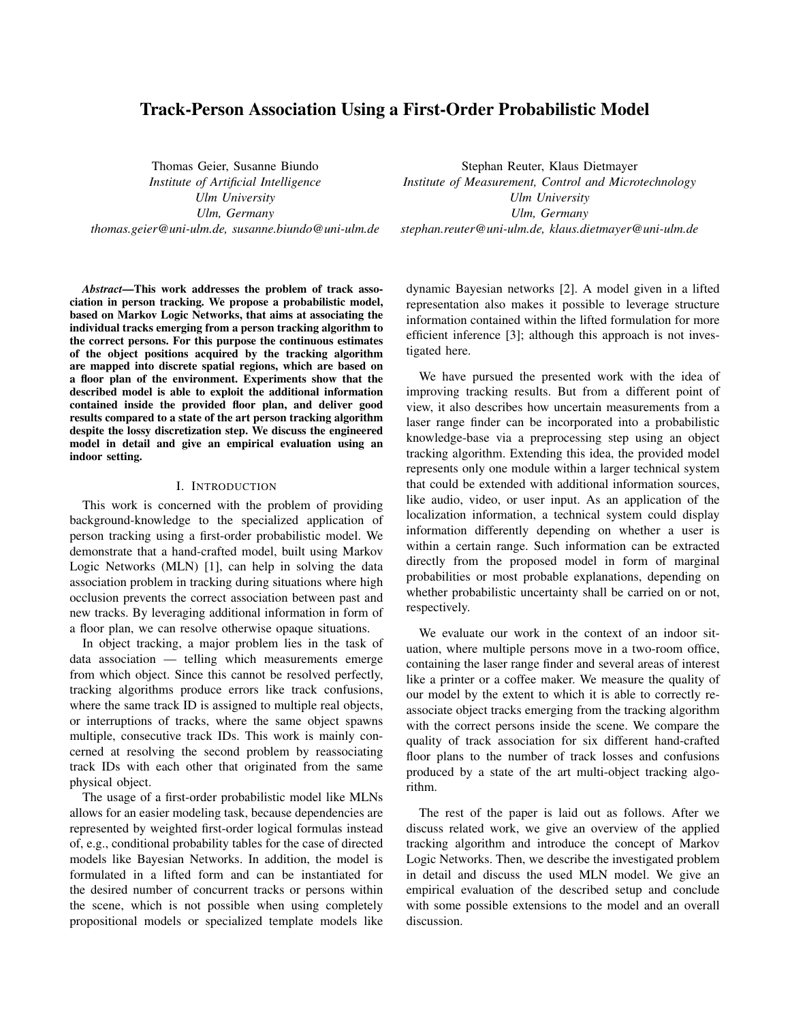# Track-Person Association Using a First-Order Probabilistic Model

Thomas Geier, Susanne Biundo *Institute of Artificial Intelligence Ulm University Ulm, Germany thomas.geier@uni-ulm.de, susanne.biundo@uni-ulm.de*

*Abstract*—This work addresses the problem of track association in person tracking. We propose a probabilistic model, based on Markov Logic Networks, that aims at associating the individual tracks emerging from a person tracking algorithm to the correct persons. For this purpose the continuous estimates of the object positions acquired by the tracking algorithm are mapped into discrete spatial regions, which are based on a floor plan of the environment. Experiments show that the described model is able to exploit the additional information contained inside the provided floor plan, and deliver good results compared to a state of the art person tracking algorithm despite the lossy discretization step. We discuss the engineered model in detail and give an empirical evaluation using an indoor setting.

#### I. INTRODUCTION

This work is concerned with the problem of providing background-knowledge to the specialized application of person tracking using a first-order probabilistic model. We demonstrate that a hand-crafted model, built using Markov Logic Networks (MLN) [1], can help in solving the data association problem in tracking during situations where high occlusion prevents the correct association between past and new tracks. By leveraging additional information in form of a floor plan, we can resolve otherwise opaque situations.

In object tracking, a major problem lies in the task of data association — telling which measurements emerge from which object. Since this cannot be resolved perfectly, tracking algorithms produce errors like track confusions, where the same track ID is assigned to multiple real objects, or interruptions of tracks, where the same object spawns multiple, consecutive track IDs. This work is mainly concerned at resolving the second problem by reassociating track IDs with each other that originated from the same physical object.

The usage of a first-order probabilistic model like MLNs allows for an easier modeling task, because dependencies are represented by weighted first-order logical formulas instead of, e.g., conditional probability tables for the case of directed models like Bayesian Networks. In addition, the model is formulated in a lifted form and can be instantiated for the desired number of concurrent tracks or persons within the scene, which is not possible when using completely propositional models or specialized template models like

Stephan Reuter, Klaus Dietmayer *Institute of Measurement, Control and Microtechnology Ulm University Ulm, Germany stephan.reuter@uni-ulm.de, klaus.dietmayer@uni-ulm.de*

dynamic Bayesian networks [2]. A model given in a lifted representation also makes it possible to leverage structure information contained within the lifted formulation for more efficient inference [3]; although this approach is not investigated here.

We have pursued the presented work with the idea of improving tracking results. But from a different point of view, it also describes how uncertain measurements from a laser range finder can be incorporated into a probabilistic knowledge-base via a preprocessing step using an object tracking algorithm. Extending this idea, the provided model represents only one module within a larger technical system that could be extended with additional information sources, like audio, video, or user input. As an application of the localization information, a technical system could display information differently depending on whether a user is within a certain range. Such information can be extracted directly from the proposed model in form of marginal probabilities or most probable explanations, depending on whether probabilistic uncertainty shall be carried on or not, respectively.

We evaluate our work in the context of an indoor situation, where multiple persons move in a two-room office, containing the laser range finder and several areas of interest like a printer or a coffee maker. We measure the quality of our model by the extent to which it is able to correctly reassociate object tracks emerging from the tracking algorithm with the correct persons inside the scene. We compare the quality of track association for six different hand-crafted floor plans to the number of track losses and confusions produced by a state of the art multi-object tracking algorithm.

The rest of the paper is laid out as follows. After we discuss related work, we give an overview of the applied tracking algorithm and introduce the concept of Markov Logic Networks. Then, we describe the investigated problem in detail and discuss the used MLN model. We give an empirical evaluation of the described setup and conclude with some possible extensions to the model and an overall discussion.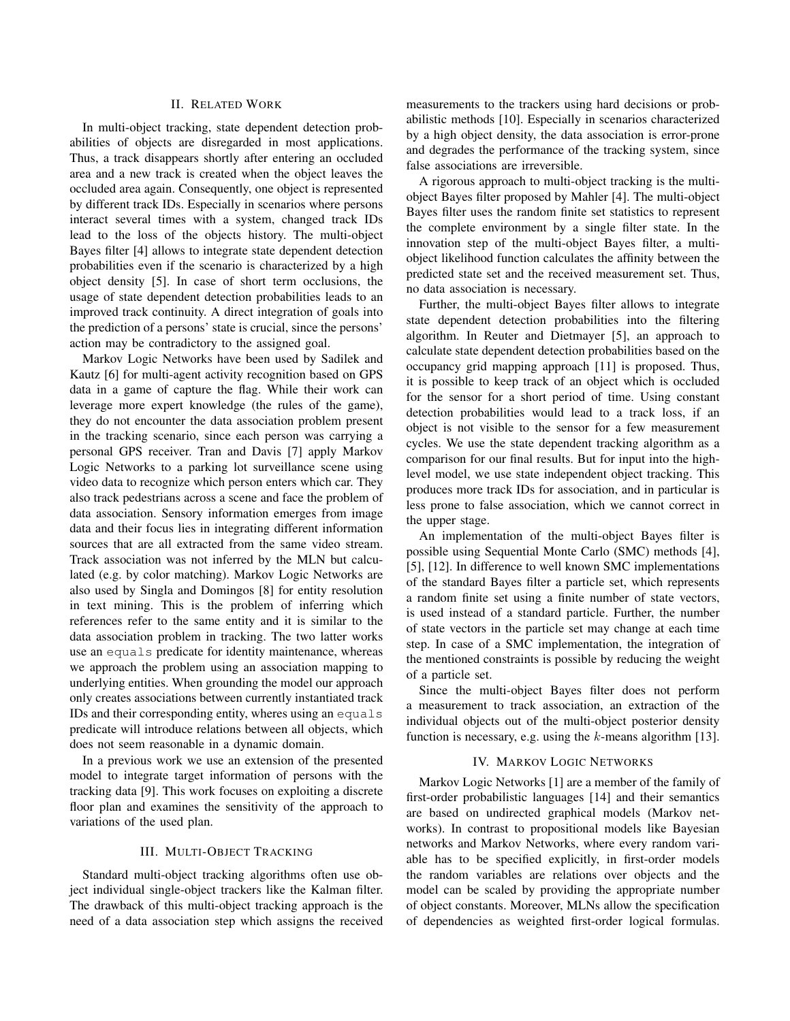# II. RELATED WORK

In multi-object tracking, state dependent detection probabilities of objects are disregarded in most applications. Thus, a track disappears shortly after entering an occluded area and a new track is created when the object leaves the occluded area again. Consequently, one object is represented by different track IDs. Especially in scenarios where persons interact several times with a system, changed track IDs lead to the loss of the objects history. The multi-object Bayes filter [4] allows to integrate state dependent detection probabilities even if the scenario is characterized by a high object density [5]. In case of short term occlusions, the usage of state dependent detection probabilities leads to an improved track continuity. A direct integration of goals into the prediction of a persons' state is crucial, since the persons' action may be contradictory to the assigned goal.

Markov Logic Networks have been used by Sadilek and Kautz [6] for multi-agent activity recognition based on GPS data in a game of capture the flag. While their work can leverage more expert knowledge (the rules of the game), they do not encounter the data association problem present in the tracking scenario, since each person was carrying a personal GPS receiver. Tran and Davis [7] apply Markov Logic Networks to a parking lot surveillance scene using video data to recognize which person enters which car. They also track pedestrians across a scene and face the problem of data association. Sensory information emerges from image data and their focus lies in integrating different information sources that are all extracted from the same video stream. Track association was not inferred by the MLN but calculated (e.g. by color matching). Markov Logic Networks are also used by Singla and Domingos [8] for entity resolution in text mining. This is the problem of inferring which references refer to the same entity and it is similar to the data association problem in tracking. The two latter works use an equals predicate for identity maintenance, whereas we approach the problem using an association mapping to underlying entities. When grounding the model our approach only creates associations between currently instantiated track IDs and their corresponding entity, wheres using an equals predicate will introduce relations between all objects, which does not seem reasonable in a dynamic domain.

In a previous work we use an extension of the presented model to integrate target information of persons with the tracking data [9]. This work focuses on exploiting a discrete floor plan and examines the sensitivity of the approach to variations of the used plan.

# III. MULTI-OBJECT TRACKING

Standard multi-object tracking algorithms often use object individual single-object trackers like the Kalman filter. The drawback of this multi-object tracking approach is the need of a data association step which assigns the received measurements to the trackers using hard decisions or probabilistic methods [10]. Especially in scenarios characterized by a high object density, the data association is error-prone and degrades the performance of the tracking system, since false associations are irreversible.

A rigorous approach to multi-object tracking is the multiobject Bayes filter proposed by Mahler [4]. The multi-object Bayes filter uses the random finite set statistics to represent the complete environment by a single filter state. In the innovation step of the multi-object Bayes filter, a multiobject likelihood function calculates the affinity between the predicted state set and the received measurement set. Thus, no data association is necessary.

Further, the multi-object Bayes filter allows to integrate state dependent detection probabilities into the filtering algorithm. In Reuter and Dietmayer [5], an approach to calculate state dependent detection probabilities based on the occupancy grid mapping approach [11] is proposed. Thus, it is possible to keep track of an object which is occluded for the sensor for a short period of time. Using constant detection probabilities would lead to a track loss, if an object is not visible to the sensor for a few measurement cycles. We use the state dependent tracking algorithm as a comparison for our final results. But for input into the highlevel model, we use state independent object tracking. This produces more track IDs for association, and in particular is less prone to false association, which we cannot correct in the upper stage.

An implementation of the multi-object Bayes filter is possible using Sequential Monte Carlo (SMC) methods [4], [5], [12]. In difference to well known SMC implementations of the standard Bayes filter a particle set, which represents a random finite set using a finite number of state vectors, is used instead of a standard particle. Further, the number of state vectors in the particle set may change at each time step. In case of a SMC implementation, the integration of the mentioned constraints is possible by reducing the weight of a particle set.

Since the multi-object Bayes filter does not perform a measurement to track association, an extraction of the individual objects out of the multi-object posterior density function is necessary, e.g. using the  $k$ -means algorithm [13].

#### IV. MARKOV LOGIC NETWORKS

Markov Logic Networks [1] are a member of the family of first-order probabilistic languages [14] and their semantics are based on undirected graphical models (Markov networks). In contrast to propositional models like Bayesian networks and Markov Networks, where every random variable has to be specified explicitly, in first-order models the random variables are relations over objects and the model can be scaled by providing the appropriate number of object constants. Moreover, MLNs allow the specification of dependencies as weighted first-order logical formulas.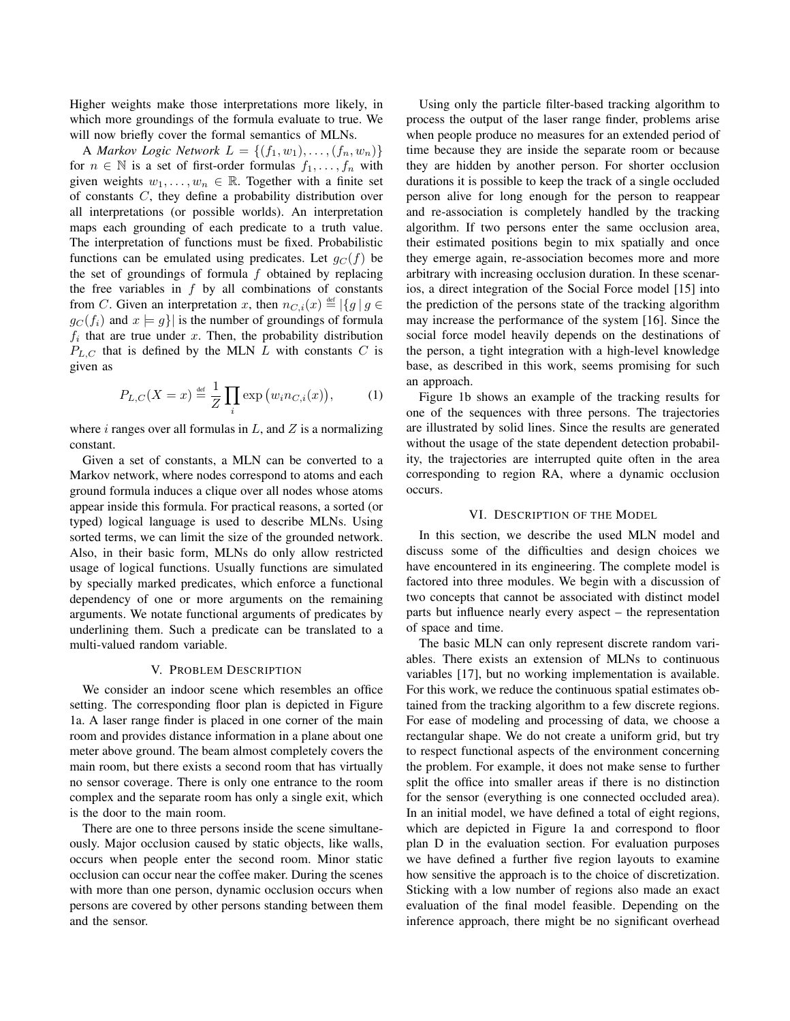Higher weights make those interpretations more likely, in which more groundings of the formula evaluate to true. We will now briefly cover the formal semantics of MLNs.

A *Markov Logic Network*  $L = \{(f_1, w_1), \ldots, (f_n, w_n)\}\$ for  $n \in \mathbb{N}$  is a set of first-order formulas  $f_1, \ldots, f_n$  with given weights  $w_1, \ldots, w_n \in \mathbb{R}$ . Together with a finite set of constants C, they define a probability distribution over all interpretations (or possible worlds). An interpretation maps each grounding of each predicate to a truth value. The interpretation of functions must be fixed. Probabilistic functions can be emulated using predicates. Let  $q_C(f)$  be the set of groundings of formula  $f$  obtained by replacing the free variables in  $f$  by all combinations of constants from C. Given an interpretation x, then  $n_{C,i}(x) \stackrel{\text{def}}{=} |\{g \mid g \in$  $g_C(f_i)$  and  $x \models g$  is the number of groundings of formula  $f_i$  that are true under x. Then, the probability distribution  $P_{L,C}$  that is defined by the MLN L with constants C is given as

$$
P_{L,C}(X=x) \stackrel{\text{def}}{=} \frac{1}{Z} \prod_i \exp(w_i n_{C,i}(x)),\tag{1}
$$

where i ranges over all formulas in  $L$ , and  $Z$  is a normalizing constant.

Given a set of constants, a MLN can be converted to a Markov network, where nodes correspond to atoms and each ground formula induces a clique over all nodes whose atoms appear inside this formula. For practical reasons, a sorted (or typed) logical language is used to describe MLNs. Using sorted terms, we can limit the size of the grounded network. Also, in their basic form, MLNs do only allow restricted usage of logical functions. Usually functions are simulated by specially marked predicates, which enforce a functional dependency of one or more arguments on the remaining arguments. We notate functional arguments of predicates by underlining them. Such a predicate can be translated to a multi-valued random variable.

## V. PROBLEM DESCRIPTION

We consider an indoor scene which resembles an office setting. The corresponding floor plan is depicted in Figure 1a. A laser range finder is placed in one corner of the main room and provides distance information in a plane about one meter above ground. The beam almost completely covers the main room, but there exists a second room that has virtually no sensor coverage. There is only one entrance to the room complex and the separate room has only a single exit, which is the door to the main room.

There are one to three persons inside the scene simultaneously. Major occlusion caused by static objects, like walls, occurs when people enter the second room. Minor static occlusion can occur near the coffee maker. During the scenes with more than one person, dynamic occlusion occurs when persons are covered by other persons standing between them and the sensor.

Using only the particle filter-based tracking algorithm to process the output of the laser range finder, problems arise when people produce no measures for an extended period of time because they are inside the separate room or because they are hidden by another person. For shorter occlusion durations it is possible to keep the track of a single occluded person alive for long enough for the person to reappear and re-association is completely handled by the tracking algorithm. If two persons enter the same occlusion area, their estimated positions begin to mix spatially and once they emerge again, re-association becomes more and more arbitrary with increasing occlusion duration. In these scenarios, a direct integration of the Social Force model [15] into the prediction of the persons state of the tracking algorithm may increase the performance of the system [16]. Since the social force model heavily depends on the destinations of the person, a tight integration with a high-level knowledge base, as described in this work, seems promising for such an approach.

Figure 1b shows an example of the tracking results for one of the sequences with three persons. The trajectories are illustrated by solid lines. Since the results are generated without the usage of the state dependent detection probability, the trajectories are interrupted quite often in the area corresponding to region RA, where a dynamic occlusion occurs.

#### VI. DESCRIPTION OF THE MODEL

In this section, we describe the used MLN model and discuss some of the difficulties and design choices we have encountered in its engineering. The complete model is factored into three modules. We begin with a discussion of two concepts that cannot be associated with distinct model parts but influence nearly every aspect – the representation of space and time.

The basic MLN can only represent discrete random variables. There exists an extension of MLNs to continuous variables [17], but no working implementation is available. For this work, we reduce the continuous spatial estimates obtained from the tracking algorithm to a few discrete regions. For ease of modeling and processing of data, we choose a rectangular shape. We do not create a uniform grid, but try to respect functional aspects of the environment concerning the problem. For example, it does not make sense to further split the office into smaller areas if there is no distinction for the sensor (everything is one connected occluded area). In an initial model, we have defined a total of eight regions, which are depicted in Figure 1a and correspond to floor plan D in the evaluation section. For evaluation purposes we have defined a further five region layouts to examine how sensitive the approach is to the choice of discretization. Sticking with a low number of regions also made an exact evaluation of the final model feasible. Depending on the inference approach, there might be no significant overhead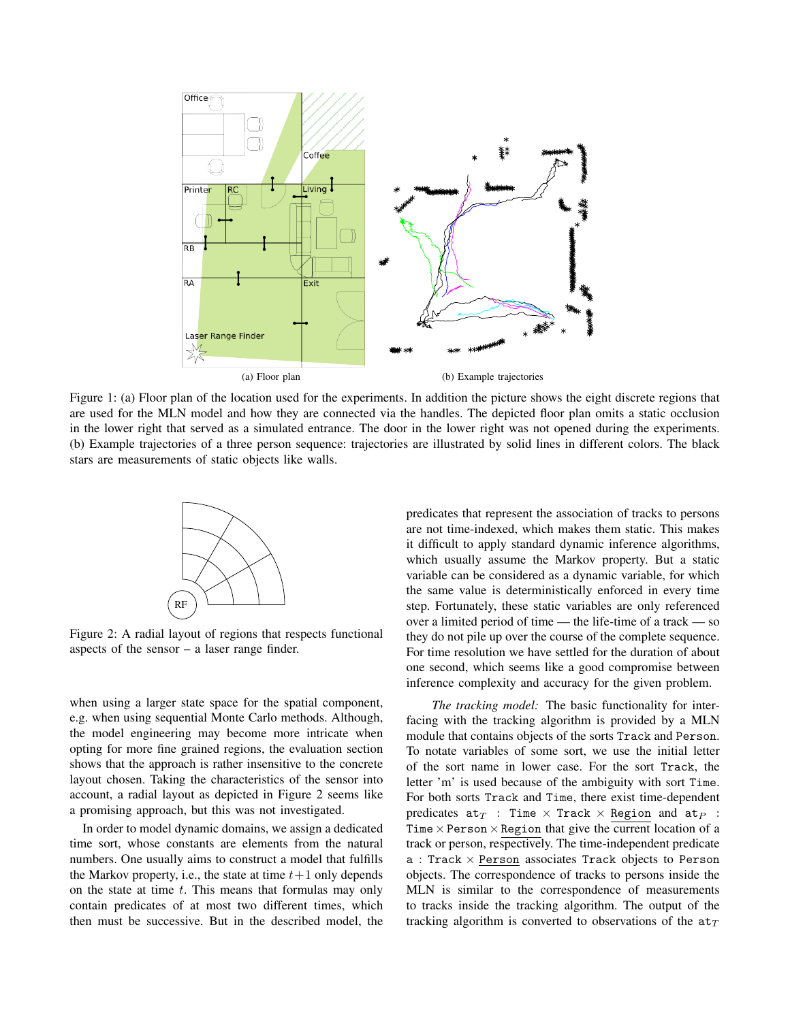

Figure 1: (a) Floor plan of the location used for the experiments. In addition the picture shows the eight discrete regions that are used for the MLN model and how they are connected via the handles. The depicted floor plan omits a static occlusion in the lower right that served as a simulated entrance. The door in the lower right was not opened during the experiments. (b) Example trajectories of a three person sequence: trajectories are illustrated by solid lines in different colors. The black stars are measurements of static objects like walls.



Figure 2: A radial layout of regions that respects functional aspects of the sensor – a laser range finder.

when using a larger state space for the spatial component, e.g. when using sequential Monte Carlo methods. Although, the model engineering may become more intricate when opting for more fine grained regions, the evaluation section shows that the approach is rather insensitive to the concrete layout chosen. Taking the characteristics of the sensor into account, a radial layout as depicted in Figure 2 seems like a promising approach, but this was not investigated.

In order to model dynamic domains, we assign a dedicated time sort, whose constants are elements from the natural numbers. One usually aims to construct a model that fulfills the Markov property, i.e., the state at time  $t+1$  only depends on the state at time  $t$ . This means that formulas may only contain predicates of at most two different times, which then must be successive. But in the described model, the predicates that represent the association of tracks to persons are not time-indexed, which makes them static. This makes it difficult to apply standard dynamic inference algorithms, which usually assume the Markov property. But a static variable can be considered as a dynamic variable, for which the same value is deterministically enforced in every time step. Fortunately, these static variables are only referenced over a limited period of time — the life-time of a track — so they do not pile up over the course of the complete sequence. For time resolution we have settled for the duration of about one second, which seems like a good compromise between inference complexity and accuracy for the given problem.

*The tracking model:* The basic functionality for interfacing with the tracking algorithm is provided by a MLN module that contains objects of the sorts Track and Person. To notate variables of some sort, we use the initial letter of the sort name in lower case. For the sort Track, the letter 'm' is used because of the ambiguity with sort Time. For both sorts Track and Time, there exist time-dependent predicates  $at_T$  : Time  $\times$  Track  $\times$  Region and  $at_P$  : Time  $\times$  Person  $\times$  Region that give the current location of a track or person, respectively. The time-independent predicate  $a$  : Track  $\times$  Person associates Track objects to Person objects. The correspondence of tracks to persons inside the MLN is similar to the correspondence of measurements to tracks inside the tracking algorithm. The output of the tracking algorithm is converted to observations of the  $a t_T$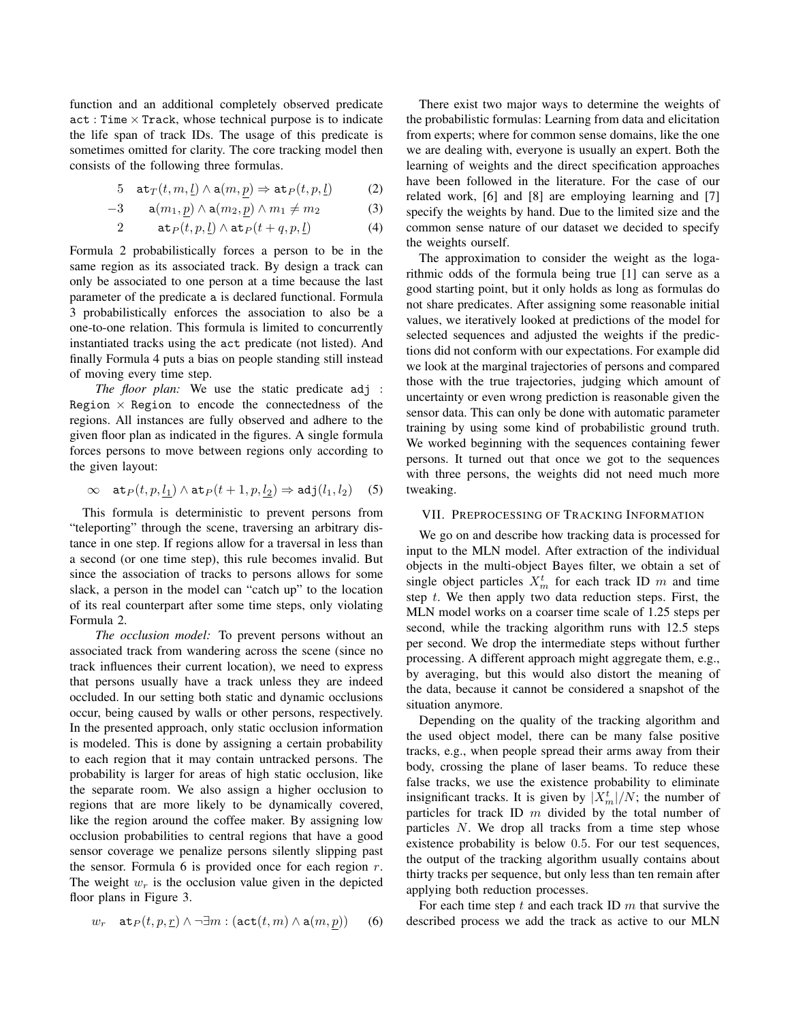function and an additional completely observed predicate  $act: Time \times Track$ , whose technical purpose is to indicate the life span of track IDs. The usage of this predicate is sometimes omitted for clarity. The core tracking model then consists of the following three formulas.

5 at<sub>T</sub>(
$$
t, m, \underline{l}
$$
)  $\wedge$  a( $m, p$ )  $\Rightarrow$  at<sub>P</sub>( $t, p, \underline{l}$ ) (2)

$$
-3 \qquad \mathbf{a}(m_1, \underline{p}) \wedge \mathbf{a}(m_2, \underline{p}) \wedge m_1 \neq m_2 \tag{3}
$$

$$
2 \qquad \mathsf{at}_P(t, p, \underline{l}) \wedge \mathsf{at}_P(t + q, p, \underline{l}) \tag{4}
$$

Formula 2 probabilistically forces a person to be in the same region as its associated track. By design a track can only be associated to one person at a time because the last parameter of the predicate a is declared functional. Formula 3 probabilistically enforces the association to also be a one-to-one relation. This formula is limited to concurrently instantiated tracks using the act predicate (not listed). And finally Formula 4 puts a bias on people standing still instead of moving every time step.

*The floor plan:* We use the static predicate adj : Region  $\times$  Region to encode the connectedness of the regions. All instances are fully observed and adhere to the given floor plan as indicated in the figures. A single formula forces persons to move between regions only according to the given layout:

$$
\infty \quad \mathsf{at}_P(t, p, \underline{l_1}) \land \mathsf{at}_P(t+1, p, \underline{l_2}) \Rightarrow \mathsf{adj}(l_1, l_2) \quad (5)
$$

This formula is deterministic to prevent persons from "teleporting" through the scene, traversing an arbitrary distance in one step. If regions allow for a traversal in less than a second (or one time step), this rule becomes invalid. But since the association of tracks to persons allows for some slack, a person in the model can "catch up" to the location of its real counterpart after some time steps, only violating Formula 2.

*The occlusion model:* To prevent persons without an associated track from wandering across the scene (since no track influences their current location), we need to express that persons usually have a track unless they are indeed occluded. In our setting both static and dynamic occlusions occur, being caused by walls or other persons, respectively. In the presented approach, only static occlusion information is modeled. This is done by assigning a certain probability to each region that it may contain untracked persons. The probability is larger for areas of high static occlusion, like the separate room. We also assign a higher occlusion to regions that are more likely to be dynamically covered, like the region around the coffee maker. By assigning low occlusion probabilities to central regions that have a good sensor coverage we penalize persons silently slipping past the sensor. Formula 6 is provided once for each region  $r$ . The weight  $w_r$  is the occlusion value given in the depicted floor plans in Figure 3.

$$
w_r \quad \mathtt{at}_P(t, p, \underline{r}) \land \neg \exists m : (\mathtt{act}(t, m) \land \mathtt{a}(m, p)) \qquad (6)
$$

There exist two major ways to determine the weights of the probabilistic formulas: Learning from data and elicitation from experts; where for common sense domains, like the one we are dealing with, everyone is usually an expert. Both the learning of weights and the direct specification approaches have been followed in the literature. For the case of our related work, [6] and [8] are employing learning and [7] specify the weights by hand. Due to the limited size and the common sense nature of our dataset we decided to specify the weights ourself.

The approximation to consider the weight as the logarithmic odds of the formula being true [1] can serve as a good starting point, but it only holds as long as formulas do not share predicates. After assigning some reasonable initial values, we iteratively looked at predictions of the model for selected sequences and adjusted the weights if the predictions did not conform with our expectations. For example did we look at the marginal trajectories of persons and compared those with the true trajectories, judging which amount of uncertainty or even wrong prediction is reasonable given the sensor data. This can only be done with automatic parameter training by using some kind of probabilistic ground truth. We worked beginning with the sequences containing fewer persons. It turned out that once we got to the sequences with three persons, the weights did not need much more tweaking.

# VII. PREPROCESSING OF TRACKING INFORMATION

We go on and describe how tracking data is processed for input to the MLN model. After extraction of the individual objects in the multi-object Bayes filter, we obtain a set of single object particles  $X_m^t$  for each track ID m and time step  $t$ . We then apply two data reduction steps. First, the MLN model works on a coarser time scale of 1.25 steps per second, while the tracking algorithm runs with 12.5 steps per second. We drop the intermediate steps without further processing. A different approach might aggregate them, e.g., by averaging, but this would also distort the meaning of the data, because it cannot be considered a snapshot of the situation anymore.

Depending on the quality of the tracking algorithm and the used object model, there can be many false positive tracks, e.g., when people spread their arms away from their body, crossing the plane of laser beams. To reduce these false tracks, we use the existence probability to eliminate insignificant tracks. It is given by  $|X_m^t|/N$ ; the number of particles for track ID  $m$  divided by the total number of particles N. We drop all tracks from a time step whose existence probability is below 0.5. For our test sequences, the output of the tracking algorithm usually contains about thirty tracks per sequence, but only less than ten remain after applying both reduction processes.

For each time step  $t$  and each track ID  $m$  that survive the described process we add the track as active to our MLN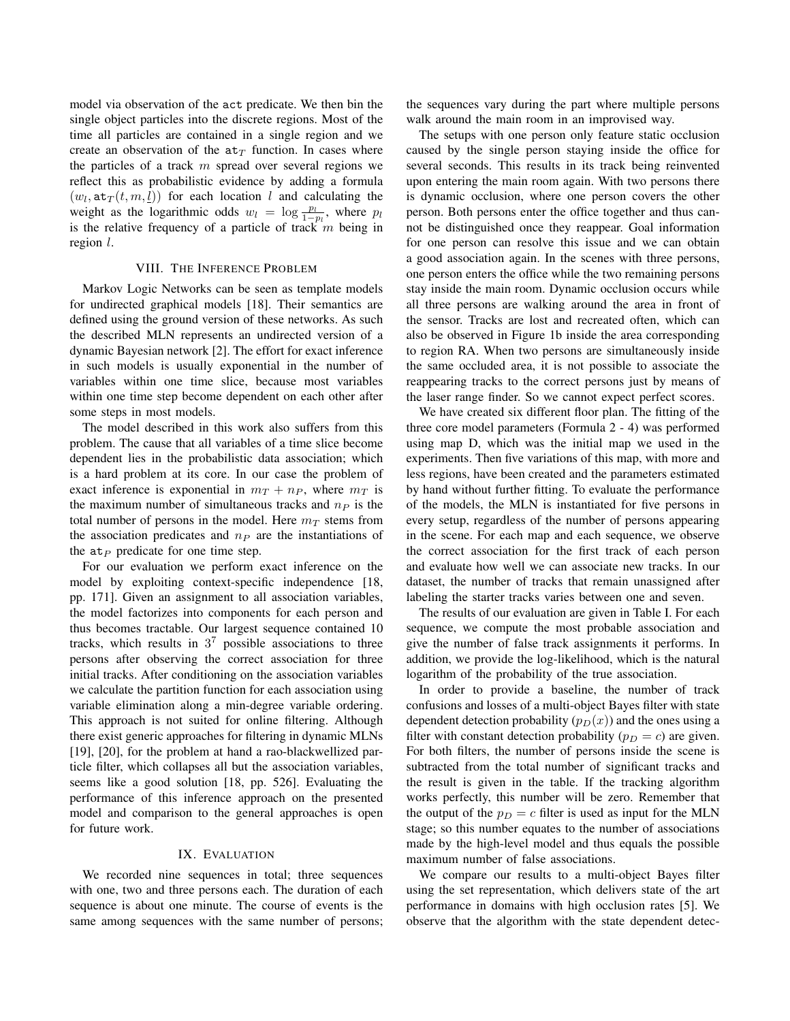model via observation of the act predicate. We then bin the single object particles into the discrete regions. Most of the time all particles are contained in a single region and we create an observation of the  $a t_T$  function. In cases where the particles of a track  $m$  spread over several regions we reflect this as probabilistic evidence by adding a formula  $(w_l, \texttt{at}_T(t, m, \underline{l}))$  for each location l and calculating the weight as the logarithmic odds  $w_l = \log \frac{p_l}{1-p_l}$ , where  $p_l$ is the relative frequency of a particle of track m being in region l.

#### VIII. THE INFERENCE PROBLEM

Markov Logic Networks can be seen as template models for undirected graphical models [18]. Their semantics are defined using the ground version of these networks. As such the described MLN represents an undirected version of a dynamic Bayesian network [2]. The effort for exact inference in such models is usually exponential in the number of variables within one time slice, because most variables within one time step become dependent on each other after some steps in most models.

The model described in this work also suffers from this problem. The cause that all variables of a time slice become dependent lies in the probabilistic data association; which is a hard problem at its core. In our case the problem of exact inference is exponential in  $m_T + n_P$ , where  $m_T$  is the maximum number of simultaneous tracks and  $n<sub>P</sub>$  is the total number of persons in the model. Here  $m<sub>T</sub>$  stems from the association predicates and  $n_P$  are the instantiations of the  $at_P$  predicate for one time step.

For our evaluation we perform exact inference on the model by exploiting context-specific independence [18, pp. 171]. Given an assignment to all association variables, the model factorizes into components for each person and thus becomes tractable. Our largest sequence contained 10 tracks, which results in  $3^7$  possible associations to three persons after observing the correct association for three initial tracks. After conditioning on the association variables we calculate the partition function for each association using variable elimination along a min-degree variable ordering. This approach is not suited for online filtering. Although there exist generic approaches for filtering in dynamic MLNs [19], [20], for the problem at hand a rao-blackwellized particle filter, which collapses all but the association variables, seems like a good solution [18, pp. 526]. Evaluating the performance of this inference approach on the presented model and comparison to the general approaches is open for future work.

#### IX. EVALUATION

We recorded nine sequences in total; three sequences with one, two and three persons each. The duration of each sequence is about one minute. The course of events is the same among sequences with the same number of persons; the sequences vary during the part where multiple persons walk around the main room in an improvised way.

The setups with one person only feature static occlusion caused by the single person staying inside the office for several seconds. This results in its track being reinvented upon entering the main room again. With two persons there is dynamic occlusion, where one person covers the other person. Both persons enter the office together and thus cannot be distinguished once they reappear. Goal information for one person can resolve this issue and we can obtain a good association again. In the scenes with three persons, one person enters the office while the two remaining persons stay inside the main room. Dynamic occlusion occurs while all three persons are walking around the area in front of the sensor. Tracks are lost and recreated often, which can also be observed in Figure 1b inside the area corresponding to region RA. When two persons are simultaneously inside the same occluded area, it is not possible to associate the reappearing tracks to the correct persons just by means of the laser range finder. So we cannot expect perfect scores.

We have created six different floor plan. The fitting of the three core model parameters (Formula 2 - 4) was performed using map D, which was the initial map we used in the experiments. Then five variations of this map, with more and less regions, have been created and the parameters estimated by hand without further fitting. To evaluate the performance of the models, the MLN is instantiated for five persons in every setup, regardless of the number of persons appearing in the scene. For each map and each sequence, we observe the correct association for the first track of each person and evaluate how well we can associate new tracks. In our dataset, the number of tracks that remain unassigned after labeling the starter tracks varies between one and seven.

The results of our evaluation are given in Table I. For each sequence, we compute the most probable association and give the number of false track assignments it performs. In addition, we provide the log-likelihood, which is the natural logarithm of the probability of the true association.

In order to provide a baseline, the number of track confusions and losses of a multi-object Bayes filter with state dependent detection probability  $(p_D(x))$  and the ones using a filter with constant detection probability ( $p_D = c$ ) are given. For both filters, the number of persons inside the scene is subtracted from the total number of significant tracks and the result is given in the table. If the tracking algorithm works perfectly, this number will be zero. Remember that the output of the  $p_D = c$  filter is used as input for the MLN stage; so this number equates to the number of associations made by the high-level model and thus equals the possible maximum number of false associations.

We compare our results to a multi-object Bayes filter using the set representation, which delivers state of the art performance in domains with high occlusion rates [5]. We observe that the algorithm with the state dependent detec-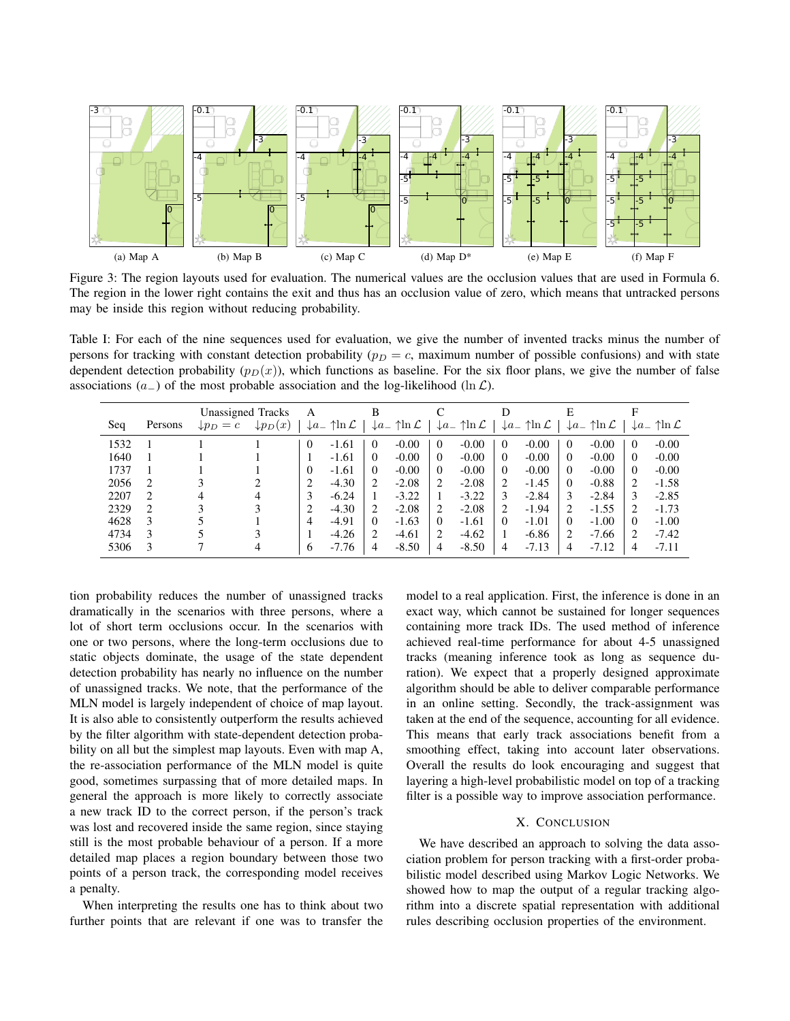

Figure 3: The region layouts used for evaluation. The numerical values are the occlusion values that are used in Formula 6. The region in the lower right contains the exit and thus has an occlusion value of zero, which means that untracked persons may be inside this region without reducing probability.

Table I: For each of the nine sequences used for evaluation, we give the number of invented tracks minus the number of persons for tracking with constant detection probability ( $p_D = c$ , maximum number of possible confusions) and with state dependent detection probability  $(p_D(x))$ , which functions as baseline. For the six floor plans, we give the number of false associations ( $a_{-}$ ) of the most probable association and the log-likelihood (ln  $\mathcal{L}$ ).

|      |               | Unassigned Tracks    |                     | A        |                                           |                       |                                          |          |                                          |          |                                          | E        |                                           |          |                                          |
|------|---------------|----------------------|---------------------|----------|-------------------------------------------|-----------------------|------------------------------------------|----------|------------------------------------------|----------|------------------------------------------|----------|-------------------------------------------|----------|------------------------------------------|
| Seq  | Persons       | $\downarrow p_D = c$ | $\downarrow p_D(x)$ |          | $\mathcal{L}a_-\uparrow$ ln $\mathcal{L}$ |                       | $\mathcal{L}a_-\uparrow \ln \mathcal{L}$ |          | $\downarrow a_-\uparrow \ln \mathcal{L}$ |          | $\downarrow a_-\uparrow \ln \mathcal{L}$ |          | $\mathcal{L}a_-\uparrow$ ln $\mathcal{L}$ |          | $\downarrow a_-\uparrow \ln \mathcal{L}$ |
| 1532 |               |                      |                     | $\theta$ | $-1.61$                                   | $\Omega$              | $-0.00$                                  | $\Omega$ | $-0.00$                                  | $\theta$ | $-0.00$                                  | $\Omega$ | $-0.00$                                   | $\theta$ | $-0.00$                                  |
| 1640 |               |                      |                     |          | $-1.61$                                   | $\Omega$              | $-0.00$                                  | 0        | $-0.00$                                  | $\theta$ | $-0.00$                                  | $\Omega$ | $-0.00$                                   | $\Omega$ | $-0.00$                                  |
| 1737 |               |                      |                     | 0        | $-1.61$                                   | $\Omega$              | $-0.00$                                  | 0        | $-0.00$                                  | $\Omega$ | $-0.00$                                  | $\Omega$ | $-0.00$                                   | $\Omega$ | $-0.00$                                  |
| 2056 | 2             |                      |                     | 2        | $-4.30$                                   | $\mathcal{D}_{\cdot}$ | $-2.08$                                  |          | $-2.08$                                  | 2        | $-1.45$                                  | $\Omega$ | $-0.88$                                   | 2        | $-1.58$                                  |
| 2207 | $\mathcal{L}$ | 4                    |                     | 3        | $-6.24$                                   |                       | $-3.22$                                  |          | $-3.22$                                  | 3        | $-2.84$                                  | 3        | $-2.84$                                   | 3        | $-2.85$                                  |
| 2329 | 2             |                      |                     | 2        | $-4.30$                                   | 2                     | $-2.08$                                  |          | $-2.08$                                  | 2        | $-1.94$                                  | 2        | $-1.55$                                   | 2        | $-1.73$                                  |
| 4628 | 3             |                      |                     | 4        | $-4.91$                                   | $\Omega$              | $-1.63$                                  | 0        | $-1.61$                                  | $\theta$ | $-1.01$                                  | $\Omega$ | $-1.00$                                   | $\Omega$ | $-1.00$                                  |
| 4734 | 3             |                      |                     |          | $-4.26$                                   | 2                     | $-4.61$                                  |          | $-4.62$                                  |          | $-6.86$                                  | 2        | $-7.66$                                   | 2        | $-7.42$                                  |
| 5306 | 3             |                      |                     | 6        | $-7.76$                                   | 4                     | $-8.50$                                  | 4        | $-8.50$                                  | 4        | $-7.13$                                  | 4        | $-7.12$                                   | 4        | $-7.11$                                  |

tion probability reduces the number of unassigned tracks dramatically in the scenarios with three persons, where a lot of short term occlusions occur. In the scenarios with one or two persons, where the long-term occlusions due to static objects dominate, the usage of the state dependent detection probability has nearly no influence on the number of unassigned tracks. We note, that the performance of the MLN model is largely independent of choice of map layout. It is also able to consistently outperform the results achieved by the filter algorithm with state-dependent detection probability on all but the simplest map layouts. Even with map A, the re-association performance of the MLN model is quite good, sometimes surpassing that of more detailed maps. In general the approach is more likely to correctly associate a new track ID to the correct person, if the person's track was lost and recovered inside the same region, since staying still is the most probable behaviour of a person. If a more detailed map places a region boundary between those two points of a person track, the corresponding model receives a penalty.

When interpreting the results one has to think about two further points that are relevant if one was to transfer the model to a real application. First, the inference is done in an exact way, which cannot be sustained for longer sequences containing more track IDs. The used method of inference achieved real-time performance for about 4-5 unassigned tracks (meaning inference took as long as sequence duration). We expect that a properly designed approximate algorithm should be able to deliver comparable performance in an online setting. Secondly, the track-assignment was taken at the end of the sequence, accounting for all evidence. This means that early track associations benefit from a smoothing effect, taking into account later observations. Overall the results do look encouraging and suggest that layering a high-level probabilistic model on top of a tracking filter is a possible way to improve association performance.

#### X. CONCLUSION

We have described an approach to solving the data association problem for person tracking with a first-order probabilistic model described using Markov Logic Networks. We showed how to map the output of a regular tracking algorithm into a discrete spatial representation with additional rules describing occlusion properties of the environment.